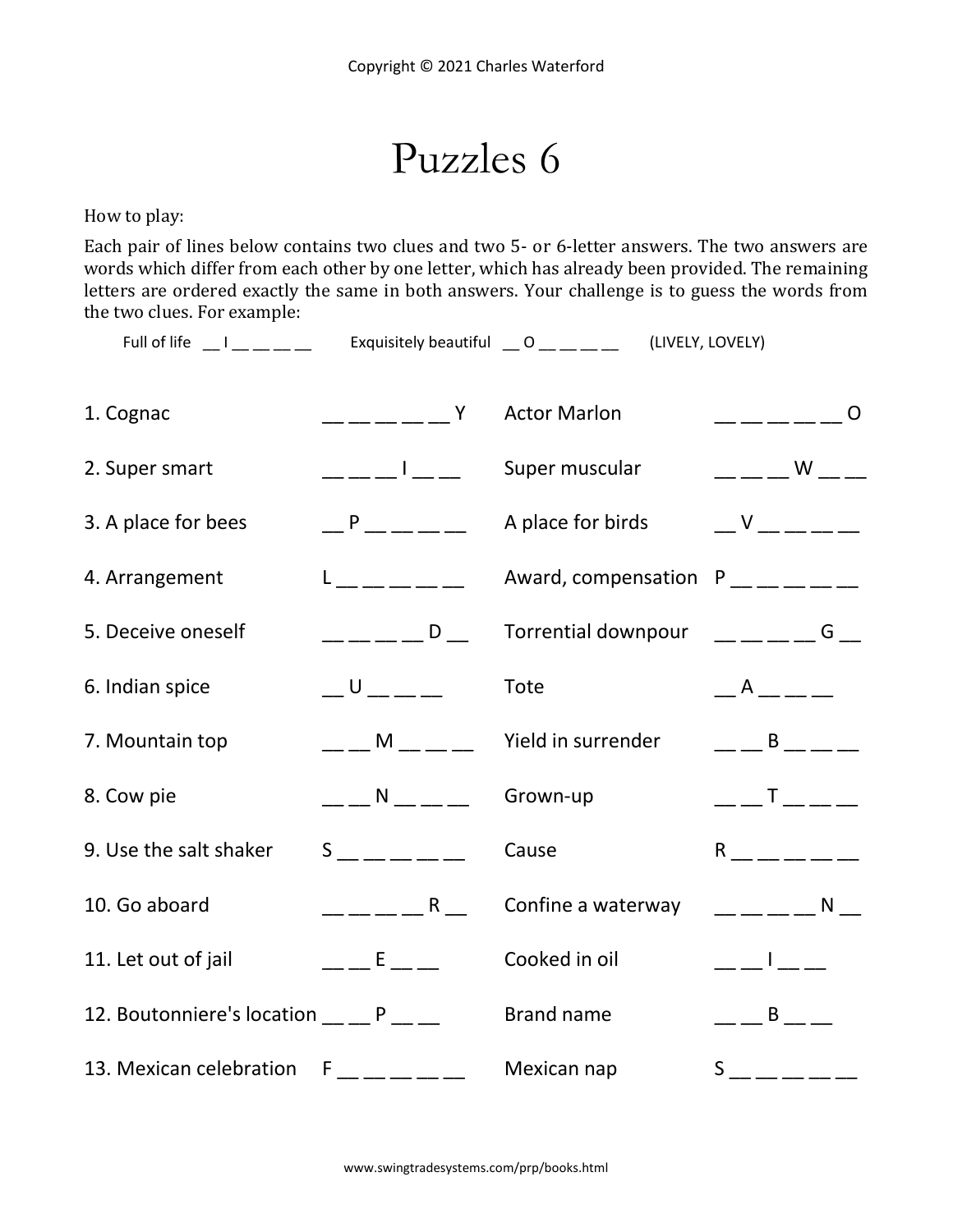Puzzles 6

How to play:

Each pair of lines below contains two clues and two 5- or 6-letter answers. The two answers are words which differ from each other by one letter, which has already been provided. The remaining letters are ordered exactly the same in both answers. Your challenge is to guess the words from the two clues. For example:

Full of life  $\Box$  I  $\Box$   $\Box$   $\Box$  Exquisitely beautiful  $\Box$  O  $\Box$   $\Box$   $\Box$  (LIVELY, LOVELY)

| 1. Cognac                                   | <b>Example 19</b>                                   | <b>Actor Marlon</b>                              | $------ 0$                                                                   |
|---------------------------------------------|-----------------------------------------------------|--------------------------------------------------|------------------------------------------------------------------------------|
| 2. Super smart                              | __ __ __   __ __                                    | Super muscular                                   | $\overline{\phantom{a}}$ W $\overline{\phantom{a}}$                          |
| 3. A place for bees                         | $-$ P $   -$                                        | A place for birds                                | $V = -$                                                                      |
| 4. Arrangement                              | $L_{\rm{}} = L_{\rm{}} = L_{\rm{}} = L_{\rm{}}$     | Award, compensation $P_{\_\_\_\_=\_\_\_\_=\_\_}$ |                                                                              |
| 5. Deceive oneself                          | $--- -  D$ $-$                                      | Torrential downpour                              | $---  G$ $-$                                                                 |
| 6. Indian spice                             | $\cup$                                              | Tote                                             | $\overline{A}$                                                               |
| 7. Mountain top                             | $     -$                                            | Yield in surrender                               | $\mathsf B$                                                                  |
| 8. Cow pie                                  | $\overline{\phantom{a}}$ N $\overline{\phantom{a}}$ | Grown-up                                         | $\begin{array}{c} \begin{array}{c} \begin{array}{c} \end{array} \end{array}$ |
| 9. Use the salt shaker                      | $S$ ______                                          | Cause                                            | $R \sim 1$                                                                   |
| 10. Go aboard                               | $\overline{\phantom{a}}$ R                          | Confine a waterway                               | <b>N</b>                                                                     |
| 11. Let out of jail                         | $E = 1.5$                                           | Cooked in oil                                    | $\frac{1}{2}$ , $\frac{1}{2}$ , $\frac{1}{2}$ , $\frac{1}{2}$                |
| 12. Boutonniere's location __ _ P __ _      |                                                     | <b>Brand name</b>                                | $\mathsf B$                                                                  |
| 13. Mexican celebration $F_{-}$ __ __ __ __ |                                                     | Mexican nap                                      | $S_{\frac{1}{2}} = 1$                                                        |